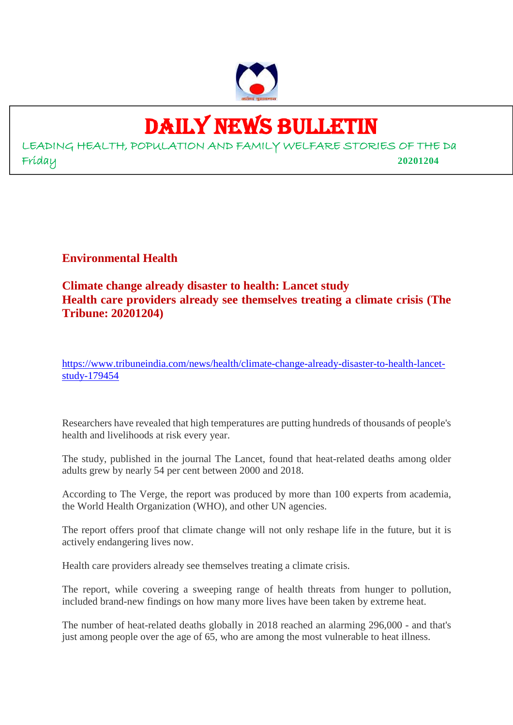

### DAILY NEWS BULLETIN

LEADING HEALTH, POPULATION AND FAMILY WELFARE STORIES OF THE Da Friday **20201204**

**Environmental Health**

**Climate change already disaster to health: Lancet study Health care providers already see themselves treating a climate crisis (The Tribune: 20201204)**

https://www.tribuneindia.com/news/health/climate-change-already-disaster-to-health-lancetstudy-179454

Researchers have revealed that high temperatures are putting hundreds of thousands of people's health and livelihoods at risk every year.

The study, published in the journal The Lancet, found that heat-related deaths among older adults grew by nearly 54 per cent between 2000 and 2018.

According to The Verge, the report was produced by more than 100 experts from academia, the World Health Organization (WHO), and other UN agencies.

The report offers proof that climate change will not only reshape life in the future, but it is actively endangering lives now.

Health care providers already see themselves treating a climate crisis.

The report, while covering a sweeping range of health threats from hunger to pollution, included brand-new findings on how many more lives have been taken by extreme heat.

The number of heat-related deaths globally in 2018 reached an alarming 296,000 - and that's just among people over the age of 65, who are among the most vulnerable to heat illness.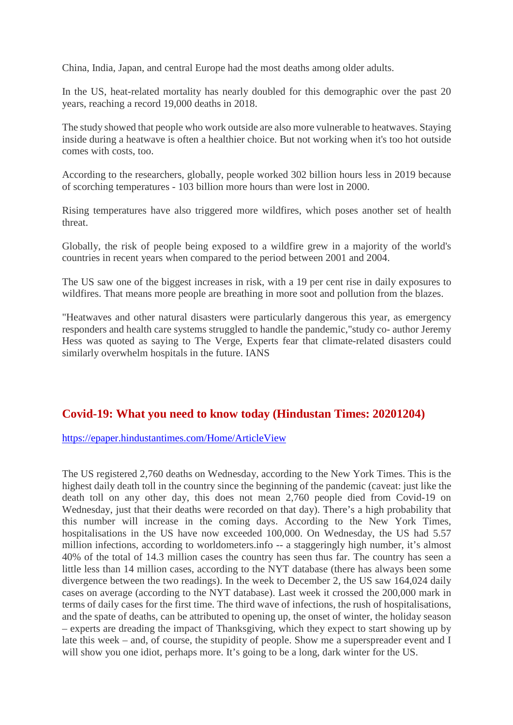China, India, Japan, and central Europe had the most deaths among older adults.

In the US, heat-related mortality has nearly doubled for this demographic over the past 20 years, reaching a record 19,000 deaths in 2018.

The study showed that people who work outside are also more vulnerable to heatwaves. Staying inside during a heatwave is often a healthier choice. But not working when it's too hot outside comes with costs, too.

According to the researchers, globally, people worked 302 billion hours less in 2019 because of scorching temperatures - 103 billion more hours than were lost in 2000.

Rising temperatures have also triggered more wildfires, which poses another set of health threat.

Globally, the risk of people being exposed to a wildfire grew in a majority of the world's countries in recent years when compared to the period between 2001 and 2004.

The US saw one of the biggest increases in risk, with a 19 per cent rise in daily exposures to wildfires. That means more people are breathing in more soot and pollution from the blazes.

"Heatwaves and other natural disasters were particularly dangerous this year, as emergency responders and health care systems struggled to handle the pandemic,"study co- author Jeremy Hess was quoted as saying to The Verge, Experts fear that climate-related disasters could similarly overwhelm hospitals in the future. IANS

#### **Covid-19: What you need to know today (Hindustan Times: 20201204)**

https://epaper.hindustantimes.com/Home/ArticleView

The US registered 2,760 deaths on Wednesday, according to the New York Times. This is the highest daily death toll in the country since the beginning of the pandemic (caveat: just like the death toll on any other day, this does not mean 2,760 people died from Covid-19 on Wednesday, just that their deaths were recorded on that day). There's a high probability that this number will increase in the coming days. According to the New York Times, hospitalisations in the US have now exceeded 100,000. On Wednesday, the US had 5.57 million infections, according to worldometers.info -- a staggeringly high number, it's almost 40% of the total of 14.3 million cases the country has seen thus far. The country has seen a little less than 14 million cases, according to the NYT database (there has always been some divergence between the two readings). In the week to December 2, the US saw 164,024 daily cases on average (according to the NYT database). Last week it crossed the 200,000 mark in terms of daily cases for the first time. The third wave of infections, the rush of hospitalisations, and the spate of deaths, can be attributed to opening up, the onset of winter, the holiday season – experts are dreading the impact of Thanksgiving, which they expect to start showing up by late this week – and, of course, the stupidity of people. Show me a superspreader event and I will show you one idiot, perhaps more. It's going to be a long, dark winter for the US.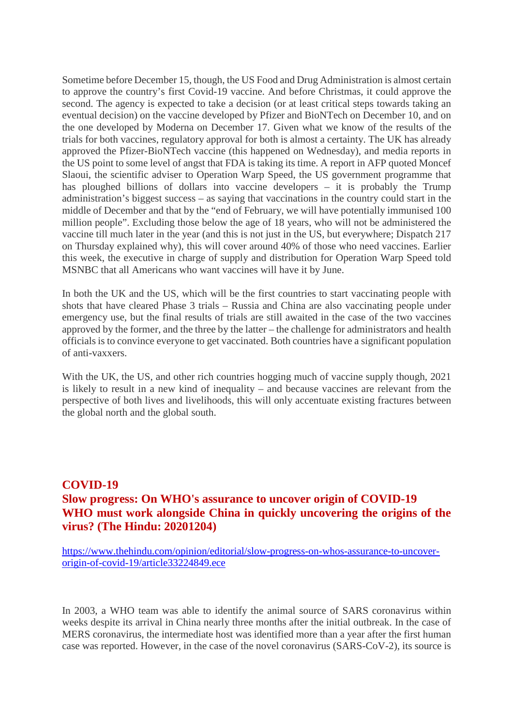Sometime before December 15, though, the US Food and Drug Administration is almost certain to approve the country's first Covid-19 vaccine. And before Christmas, it could approve the second. The agency is expected to take a decision (or at least critical steps towards taking an eventual decision) on the vaccine developed by Pfizer and BioNTech on December 10, and on the one developed by Moderna on December 17. Given what we know of the results of the trials for both vaccines, regulatory approval for both is almost a certainty. The UK has already approved the Pfizer-BioNTech vaccine (this happened on Wednesday), and media reports in the US point to some level of angst that FDA is taking its time. A report in AFP quoted Moncef Slaoui, the scientific adviser to Operation Warp Speed, the US government programme that has ploughed billions of dollars into vaccine developers – it is probably the Trump administration's biggest success – as saying that vaccinations in the country could start in the middle of December and that by the "end of February, we will have potentially immunised 100 million people". Excluding those below the age of 18 years, who will not be administered the vaccine till much later in the year (and this is not just in the US, but everywhere; Dispatch 217 on Thursday explained why), this will cover around 40% of those who need vaccines. Earlier this week, the executive in charge of supply and distribution for Operation Warp Speed told MSNBC that all Americans who want vaccines will have it by June.

In both the UK and the US, which will be the first countries to start vaccinating people with shots that have cleared Phase 3 trials – Russia and China are also vaccinating people under emergency use, but the final results of trials are still awaited in the case of the two vaccines approved by the former, and the three by the latter – the challenge for administrators and health officials is to convince everyone to get vaccinated. Both countries have a significant population of anti-vaxxers.

With the UK, the US, and other rich countries hogging much of vaccine supply though, 2021 is likely to result in a new kind of inequality – and because vaccines are relevant from the perspective of both lives and livelihoods, this will only accentuate existing fractures between the global north and the global south.

#### **COVID-19 Slow progress: On WHO's assurance to uncover origin of COVID-19 WHO must work alongside China in quickly uncovering the origins of the virus? (The Hindu: 20201204)**

https://www.thehindu.com/opinion/editorial/slow-progress-on-whos-assurance-to-uncoverorigin-of-covid-19/article33224849.ece

In 2003, a WHO team was able to identify the animal source of SARS coronavirus within weeks despite its arrival in China nearly three months after the initial outbreak. In the case of MERS coronavirus, the intermediate host was identified more than a year after the first human case was reported. However, in the case of the novel coronavirus (SARS-CoV-2), its source is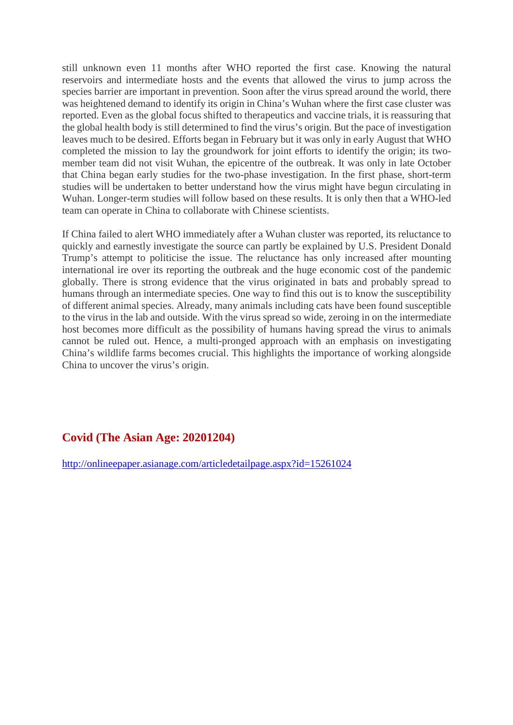still unknown even 11 months after WHO reported the first case. Knowing the natural reservoirs and intermediate hosts and the events that allowed the virus to jump across the species barrier are important in prevention. Soon after the virus spread around the world, there was heightened demand to identify its origin in China's Wuhan where the first case cluster was reported. Even as the global focus shifted to therapeutics and vaccine trials, it is reassuring that the global health body is still determined to find the virus's origin. But the pace of investigation leaves much to be desired. Efforts began in February but it was only in early August that WHO completed the mission to lay the groundwork for joint efforts to identify the origin; its twomember team did not visit Wuhan, the epicentre of the outbreak. It was only in late October that China began early studies for the two-phase investigation. In the first phase, short-term studies will be undertaken to better understand how the virus might have begun circulating in Wuhan. Longer-term studies will follow based on these results. It is only then that a WHO-led team can operate in China to collaborate with Chinese scientists.

If China failed to alert WHO immediately after a Wuhan cluster was reported, its reluctance to quickly and earnestly investigate the source can partly be explained by U.S. President Donald Trump's attempt to politicise the issue. The reluctance has only increased after mounting international ire over its reporting the outbreak and the huge economic cost of the pandemic globally. There is strong evidence that the virus originated in bats and probably spread to humans through an intermediate species. One way to find this out is to know the susceptibility of different animal species. Already, many animals including cats have been found susceptible to the virus in the lab and outside. With the virus spread so wide, zeroing in on the intermediate host becomes more difficult as the possibility of humans having spread the virus to animals cannot be ruled out. Hence, a multi-pronged approach with an emphasis on investigating China's wildlife farms becomes crucial. This highlights the importance of working alongside China to uncover the virus's origin.

#### **Covid (The Asian Age: 20201204)**

http://onlineepaper.asianage.com/articledetailpage.aspx?id=15261024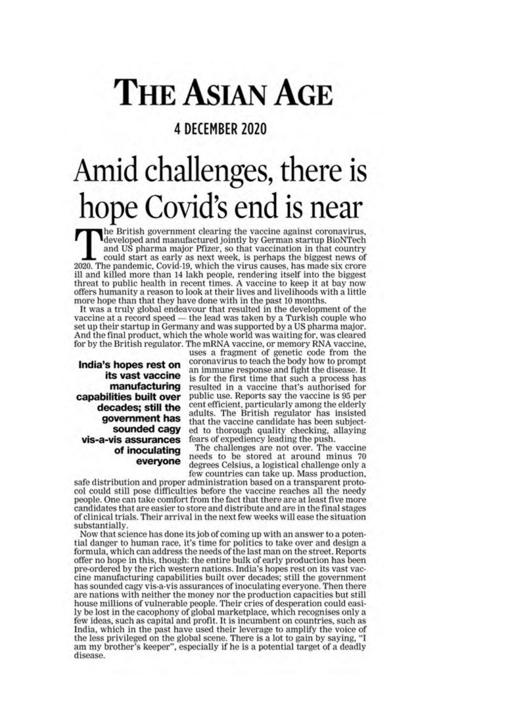## **THE ASIAN AGE**

#### 4 DECEMBER 2020

## Amid challenges, there is hope Covid's end is near

he British government clearing the vaccine against coronavirus. developed and manufactured jointly by German startup BioNTech and US pharma major Pfizer, so that vaccination in that country could start as early as next week, is perhaps the biggest news of 2020. The pandemic, Covid-19, which the virus causes, has made six crore ill and killed more than 14 lakh people, rendering itself into the biggest threat to public health in recent times. A vaccine to keep it at bay now offers humanity a reason to look at their lives and livelihoods with a little more hope than that they have done with in the past 10 months.

It was a truly global endeavour that resulted in the development of the vaccine at a record speed - the lead was taken by a Turkish couple who set up their startup in Germany and was supported by a US pharma major. And the final product, which the whole world was waiting for, was cleared for by the British regulator. The mRNA vaccine, or memory RNA vaccine,

India's hopes rest on its vast vaccine manufacturing capabilities built over decades; still the government has sounded cagy vis-a-vis assurances of inoculating everyone

uses a fragment of genetic code from the<br>coronavirus to teach the body how to prompt an immune response and fight the disease. It is for the first time that such a process has resulted in a vaccine that's authorised for public use. Reports say the vaccine is 95 per cent efficient, particularly among the elderly adults. The British regulator has insisted that the vaccine candidate has been subjected to thorough quality checking, allaying<br>fears of expediency leading the push.

The challenges are not over. The vaccine needs to be stored at around minus 70 degrees Celsius, a logistical challenge only a few countries can take up. Mass production,

safe distribution and proper administration based on a transparent protocol could still pose difficulties before the vaccine reaches all the needy people. One can take comfort from the fact that there are at least five more candidates that are easier to store and distribute and are in the final stages of clinical trials. Their arrival in the next few weeks will ease the situation substantially.

Now that science has done its job of coming up with an answer to a potential danger to human race, it's time for politics to take over and design a formula, which can address the needs of the last man on the street. Reports offer no hope in this, though: the entire bulk of early production has been pre-ordered by the rich western nations. India's hopes rest on its vast vaccine manufacturing capabilities built over decades; still the government has sounded cagy vis-a-vis assurances of inoculating everyone. Then there are nations with neither the money nor the production capacities but still house millions of vulnerable people. Their cries of desperation could easily be lost in the cacophony of global marketplace, which recognises only a few ideas, such as capital and profit. It is incumbent on countries, such as India, which in the past have used their leverage to amplify the voice of the less privileged on the global scene. There is a lot to gain by saying, "I am my brother's keeper", especially if he is a potential target of a deadly disease.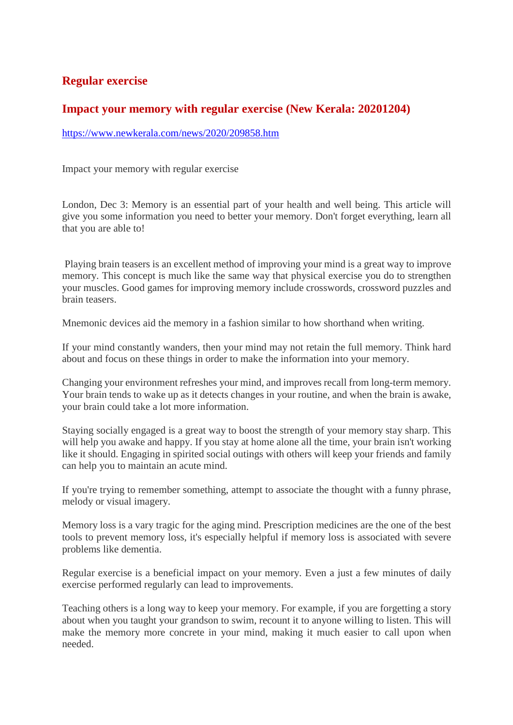#### **Regular exercise**

#### **Impact your memory with regular exercise (New Kerala: 20201204)**

https://www.newkerala.com/news/2020/209858.htm

Impact your memory with regular exercise

London, Dec 3: Memory is an essential part of your health and well being. This article will give you some information you need to better your memory. Don't forget everything, learn all that you are able to!

Playing brain teasers is an excellent method of improving your mind is a great way to improve memory. This concept is much like the same way that physical exercise you do to strengthen your muscles. Good games for improving memory include crosswords, crossword puzzles and brain teasers.

Mnemonic devices aid the memory in a fashion similar to how shorthand when writing.

If your mind constantly wanders, then your mind may not retain the full memory. Think hard about and focus on these things in order to make the information into your memory.

Changing your environment refreshes your mind, and improves recall from long-term memory. Your brain tends to wake up as it detects changes in your routine, and when the brain is awake, your brain could take a lot more information.

Staying socially engaged is a great way to boost the strength of your memory stay sharp. This will help you awake and happy. If you stay at home alone all the time, your brain isn't working like it should. Engaging in spirited social outings with others will keep your friends and family can help you to maintain an acute mind.

If you're trying to remember something, attempt to associate the thought with a funny phrase, melody or visual imagery.

Memory loss is a vary tragic for the aging mind. Prescription medicines are the one of the best tools to prevent memory loss, it's especially helpful if memory loss is associated with severe problems like dementia.

Regular exercise is a beneficial impact on your memory. Even a just a few minutes of daily exercise performed regularly can lead to improvements.

Teaching others is a long way to keep your memory. For example, if you are forgetting a story about when you taught your grandson to swim, recount it to anyone willing to listen. This will make the memory more concrete in your mind, making it much easier to call upon when needed.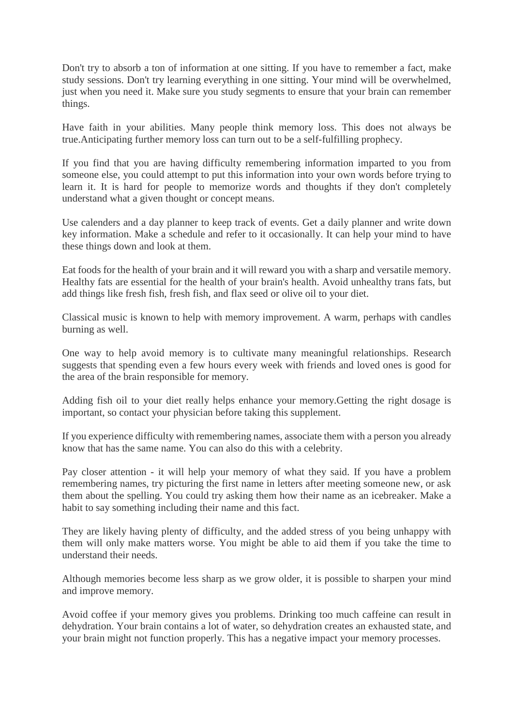Don't try to absorb a ton of information at one sitting. If you have to remember a fact, make study sessions. Don't try learning everything in one sitting. Your mind will be overwhelmed, just when you need it. Make sure you study segments to ensure that your brain can remember things.

Have faith in your abilities. Many people think memory loss. This does not always be true.Anticipating further memory loss can turn out to be a self-fulfilling prophecy.

If you find that you are having difficulty remembering information imparted to you from someone else, you could attempt to put this information into your own words before trying to learn it. It is hard for people to memorize words and thoughts if they don't completely understand what a given thought or concept means.

Use calenders and a day planner to keep track of events. Get a daily planner and write down key information. Make a schedule and refer to it occasionally. It can help your mind to have these things down and look at them.

Eat foods for the health of your brain and it will reward you with a sharp and versatile memory. Healthy fats are essential for the health of your brain's health. Avoid unhealthy trans fats, but add things like fresh fish, fresh fish, and flax seed or olive oil to your diet.

Classical music is known to help with memory improvement. A warm, perhaps with candles burning as well.

One way to help avoid memory is to cultivate many meaningful relationships. Research suggests that spending even a few hours every week with friends and loved ones is good for the area of the brain responsible for memory.

Adding fish oil to your diet really helps enhance your memory.Getting the right dosage is important, so contact your physician before taking this supplement.

If you experience difficulty with remembering names, associate them with a person you already know that has the same name. You can also do this with a celebrity.

Pay closer attention - it will help your memory of what they said. If you have a problem remembering names, try picturing the first name in letters after meeting someone new, or ask them about the spelling. You could try asking them how their name as an icebreaker. Make a habit to say something including their name and this fact.

They are likely having plenty of difficulty, and the added stress of you being unhappy with them will only make matters worse. You might be able to aid them if you take the time to understand their needs.

Although memories become less sharp as we grow older, it is possible to sharpen your mind and improve memory.

Avoid coffee if your memory gives you problems. Drinking too much caffeine can result in dehydration. Your brain contains a lot of water, so dehydration creates an exhausted state, and your brain might not function properly. This has a negative impact your memory processes.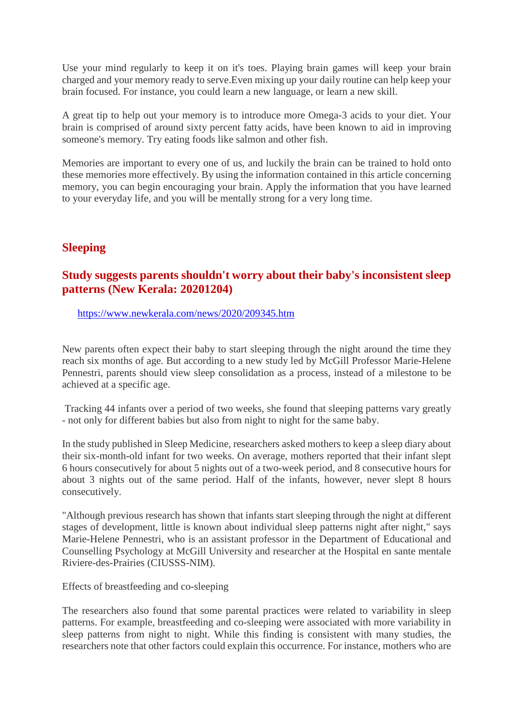Use your mind regularly to keep it on it's toes. Playing brain games will keep your brain charged and your memory ready to serve.Even mixing up your daily routine can help keep your brain focused. For instance, you could learn a new language, or learn a new skill.

A great tip to help out your memory is to introduce more Omega-3 acids to your diet. Your brain is comprised of around sixty percent fatty acids, have been known to aid in improving someone's memory. Try eating foods like salmon and other fish.

Memories are important to every one of us, and luckily the brain can be trained to hold onto these memories more effectively. By using the information contained in this article concerning memory, you can begin encouraging your brain. Apply the information that you have learned to your everyday life, and you will be mentally strong for a very long time.

#### **Sleeping**

#### **Study suggests parents shouldn't worry about their baby's inconsistent sleep patterns (New Kerala: 20201204)**

https://www.newkerala.com/news/2020/209345.htm

New parents often expect their baby to start sleeping through the night around the time they reach six months of age. But according to a new study led by McGill Professor Marie-Helene Pennestri, parents should view sleep consolidation as a process, instead of a milestone to be achieved at a specific age.

Tracking 44 infants over a period of two weeks, she found that sleeping patterns vary greatly - not only for different babies but also from night to night for the same baby.

In the study published in Sleep Medicine, researchers asked mothers to keep a sleep diary about their six-month-old infant for two weeks. On average, mothers reported that their infant slept 6 hours consecutively for about 5 nights out of a two-week period, and 8 consecutive hours for about 3 nights out of the same period. Half of the infants, however, never slept 8 hours consecutively.

"Although previous research has shown that infants start sleeping through the night at different stages of development, little is known about individual sleep patterns night after night," says Marie-Helene Pennestri, who is an assistant professor in the Department of Educational and Counselling Psychology at McGill University and researcher at the Hospital en sante mentale Riviere-des-Prairies (CIUSSS-NIM).

Effects of breastfeeding and co-sleeping

The researchers also found that some parental practices were related to variability in sleep patterns. For example, breastfeeding and co-sleeping were associated with more variability in sleep patterns from night to night. While this finding is consistent with many studies, the researchers note that other factors could explain this occurrence. For instance, mothers who are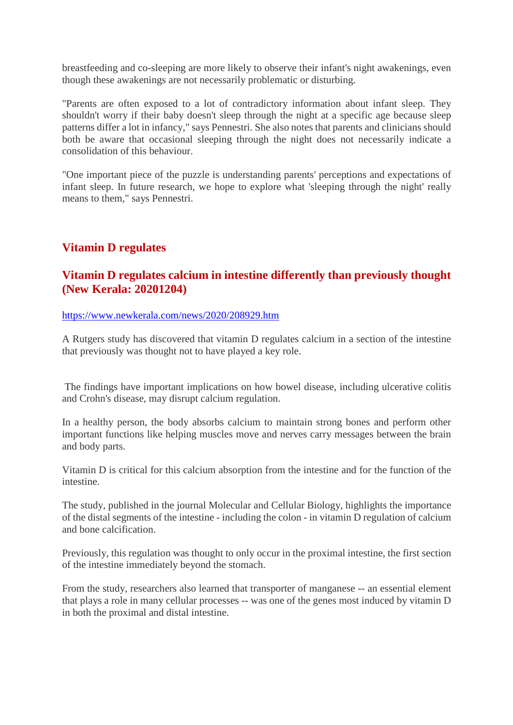breastfeeding and co-sleeping are more likely to observe their infant's night awakenings, even though these awakenings are not necessarily problematic or disturbing.

"Parents are often exposed to a lot of contradictory information about infant sleep. They shouldn't worry if their baby doesn't sleep through the night at a specific age because sleep patterns differ a lot in infancy," says Pennestri. She also notes that parents and clinicians should both be aware that occasional sleeping through the night does not necessarily indicate a consolidation of this behaviour.

"One important piece of the puzzle is understanding parents' perceptions and expectations of infant sleep. In future research, we hope to explore what 'sleeping through the night' really means to them," says Pennestri.

#### **Vitamin D regulates**

#### **Vitamin D regulates calcium in intestine differently than previously thought (New Kerala: 20201204)**

https://www.newkerala.com/news/2020/208929.htm

A Rutgers study has discovered that vitamin D regulates calcium in a section of the intestine that previously was thought not to have played a key role.

The findings have important implications on how bowel disease, including ulcerative colitis and Crohn's disease, may disrupt calcium regulation.

In a healthy person, the body absorbs calcium to maintain strong bones and perform other important functions like helping muscles move and nerves carry messages between the brain and body parts.

Vitamin D is critical for this calcium absorption from the intestine and for the function of the intestine.

The study, published in the journal Molecular and Cellular Biology, highlights the importance of the distal segments of the intestine - including the colon - in vitamin D regulation of calcium and bone calcification.

Previously, this regulation was thought to only occur in the proximal intestine, the first section of the intestine immediately beyond the stomach.

From the study, researchers also learned that transporter of manganese -- an essential element that plays a role in many cellular processes -- was one of the genes most induced by vitamin D in both the proximal and distal intestine.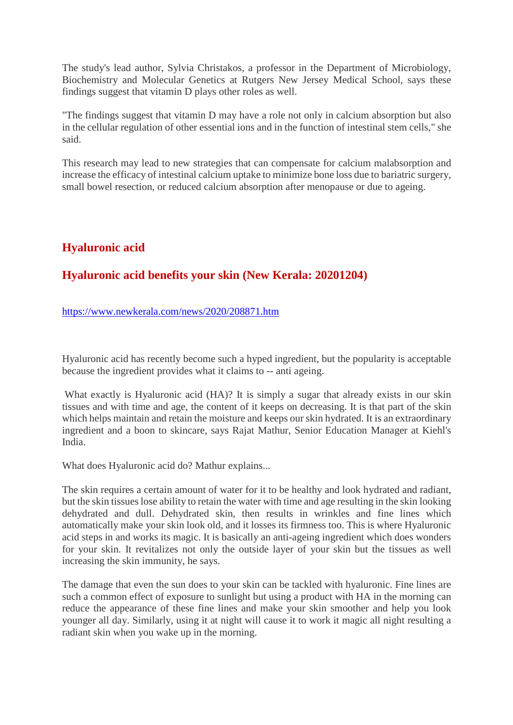The study's lead author, Sylvia Christakos, a professor in the Department of Microbiology, Biochemistry and Molecular Genetics at Rutgers New Jersey Medical School, says these findings suggest that vitamin D plays other roles as well.

"The findings suggest that vitamin D may have a role not only in calcium absorption but also in the cellular regulation of other essential ions and in the function of intestinal stem cells," she said.

This research may lead to new strategies that can compensate for calcium malabsorption and increase the efficacy of intestinal calcium uptake to minimize bone loss due to bariatric surgery, small bowel resection, or reduced calcium absorption after menopause or due to ageing.

#### **Hyaluronic acid**

#### **Hyaluronic acid benefits your skin (New Kerala: 20201204)**

https://www.newkerala.com/news/2020/208871.htm

Hyaluronic acid has recently become such a hyped ingredient, but the popularity is acceptable because the ingredient provides what it claims to -- anti ageing.

What exactly is Hyaluronic acid (HA)? It is simply a sugar that already exists in our skin tissues and with time and age, the content of it keeps on decreasing. It is that part of the skin which helps maintain and retain the moisture and keeps our skin hydrated. It is an extraordinary ingredient and a boon to skincare, says Rajat Mathur, Senior Education Manager at Kiehl's India.

What does Hyaluronic acid do? Mathur explains...

The skin requires a certain amount of water for it to be healthy and look hydrated and radiant, but the skin tissues lose ability to retain the water with time and age resulting in the skin looking dehydrated and dull. Dehydrated skin, then results in wrinkles and fine lines which automatically make your skin look old, and it losses its firmness too. This is where Hyaluronic acid steps in and works its magic. It is basically an anti-ageing ingredient which does wonders for your skin. It revitalizes not only the outside layer of your skin but the tissues as well increasing the skin immunity, he says.

The damage that even the sun does to your skin can be tackled with hyaluronic. Fine lines are such a common effect of exposure to sunlight but using a product with HA in the morning can reduce the appearance of these fine lines and make your skin smoother and help you look younger all day. Similarly, using it at night will cause it to work it magic all night resulting a radiant skin when you wake up in the morning.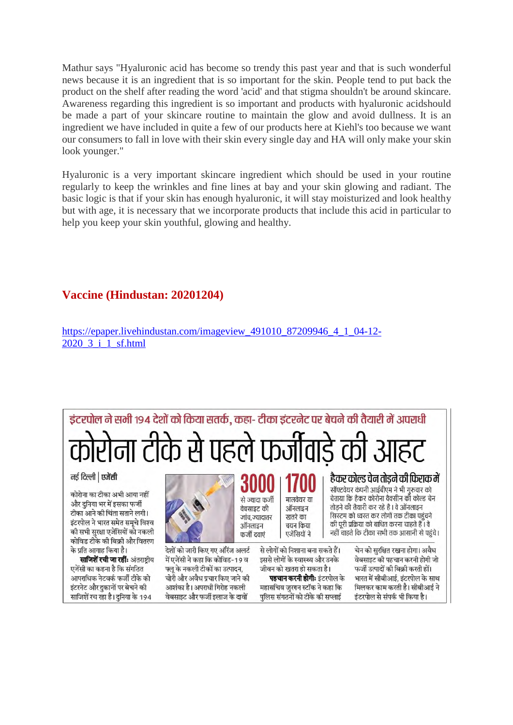Mathur says "Hyaluronic acid has become so trendy this past year and that is such wonderful news because it is an ingredient that is so important for the skin. People tend to put back the product on the shelf after reading the word 'acid' and that stigma shouldn't be around skincare. Awareness regarding this ingredient is so important and products with hyaluronic acidshould be made a part of your skincare routine to maintain the glow and avoid dullness. It is an ingredient we have included in quite a few of our products here at Kiehl's too because we want our consumers to fall in love with their skin every single day and HA will only make your skin look younger."

Hyaluronic is a very important skincare ingredient which should be used in your routine regularly to keep the wrinkles and fine lines at bay and your skin glowing and radiant. The basic logic is that if your skin has enough hyaluronic, it will stay moisturized and look healthy but with age, it is necessary that we incorporate products that include this acid in particular to help you keep your skin youthful, glowing and healthy.

#### **Vaccine (Hindustan: 20201204)**

https://epaper.livehindustan.com/imageview\_491010\_87209946\_4\_1\_04-12-2020\_3\_i\_1\_sf.html